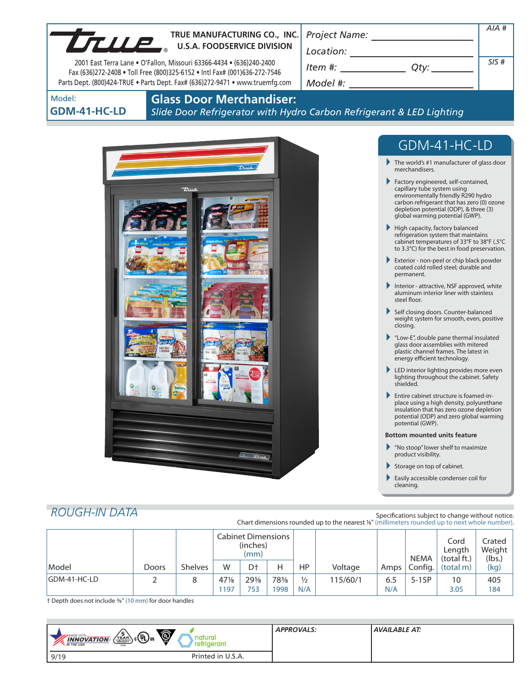|                                                                                                                                                   |                                                                                                                                                                                                                                                                                                                                                                                                                                                                                                                                                                                                                                                                                                                                                                                                                                                                                                                                                                                                                                                                                                                                                                                                                                                                                                                                                                                                                                                                                                         | AIA# |
|---------------------------------------------------------------------------------------------------------------------------------------------------|---------------------------------------------------------------------------------------------------------------------------------------------------------------------------------------------------------------------------------------------------------------------------------------------------------------------------------------------------------------------------------------------------------------------------------------------------------------------------------------------------------------------------------------------------------------------------------------------------------------------------------------------------------------------------------------------------------------------------------------------------------------------------------------------------------------------------------------------------------------------------------------------------------------------------------------------------------------------------------------------------------------------------------------------------------------------------------------------------------------------------------------------------------------------------------------------------------------------------------------------------------------------------------------------------------------------------------------------------------------------------------------------------------------------------------------------------------------------------------------------------------|------|
| TRUE MANUFACTURING CO., INC.<br>TRUE MANUFACTURING CO., INC. TRUE MANUFACTURING CO., INC.                                                         |                                                                                                                                                                                                                                                                                                                                                                                                                                                                                                                                                                                                                                                                                                                                                                                                                                                                                                                                                                                                                                                                                                                                                                                                                                                                                                                                                                                                                                                                                                         |      |
|                                                                                                                                                   |                                                                                                                                                                                                                                                                                                                                                                                                                                                                                                                                                                                                                                                                                                                                                                                                                                                                                                                                                                                                                                                                                                                                                                                                                                                                                                                                                                                                                                                                                                         | SIS# |
| 2001 East Terra Lane . O'Fallon, Missouri 63366-4434 . (636)240-2400<br>Fax (636)272-2408 . Toll Free (800)325-6152 . Intl Fax# (001)636-272-7546 | $Item #: __________ Qty: __________$                                                                                                                                                                                                                                                                                                                                                                                                                                                                                                                                                                                                                                                                                                                                                                                                                                                                                                                                                                                                                                                                                                                                                                                                                                                                                                                                                                                                                                                                    |      |
| Parts Dept. (800)424-TRUE . Parts Dept. Fax# (636)272-9471 . www.truemfg.com                                                                      | Model #: New York Products and American control of the American control of the American control of the American control of the American control of the American control of the American control of the American control of the                                                                                                                                                                                                                                                                                                                                                                                                                                                                                                                                                                                                                                                                                                                                                                                                                                                                                                                                                                                                                                                                                                                                                                                                                                                                          |      |
| <b>Glass Door Merchandiser:</b><br>Model:<br>GDM-41-HC-LD                                                                                         | Slide Door Refrigerator with Hydro Carbon Refrigerant & LED Lighting                                                                                                                                                                                                                                                                                                                                                                                                                                                                                                                                                                                                                                                                                                                                                                                                                                                                                                                                                                                                                                                                                                                                                                                                                                                                                                                                                                                                                                    |      |
| true<br>$\delta$ $\tau$                                                                                                                           | GDM-41-HC-LD<br>$\blacktriangleright$ The world's #1 manufacturer of glass door<br>merchandisers.<br>Factory engineered, self-contained,<br>capillary tube system using<br>environmentally friendly R290 hydro<br>carbon refrigerant that has zero (0) ozone<br>depletion potential (ODP), & three (3)<br>global warming potential (GWP).<br>High capacity, factory balanced<br>refrigeration system that maintains<br>cabinet temperatures of 33°F to 38°F (.5°C<br>to 3.3°C) for the best in food preservation.<br>Exterior - non-peel or chip black powder<br>coated cold rolled steel; durable and<br>permanent.<br>Interior - attractive, NSF approved, white<br>aluminum interior liner with stainless<br>steel floor.<br>Self closing doors. Counter-balanced<br>weight system for smooth, even, positive<br>closing.<br>"Low-E", double pane thermal insulated<br>glass door assemblies with mitered<br>plastic channel frames. The latest in<br>energy efficient technology.<br>LED interior lighting provides more even<br>lighting throughout the cabinet. Safety<br>shielded.<br>Entire cabinet structure is foamed-in-<br>place using a high density, polyurethane<br>insulation that has zero ozone depletion<br>potential (ODP) and zero global warming<br>potential (GWP).<br><b>Bottom mounted units feature</b><br>$\blacktriangleright$ "No stoop" lower shelf to maximize<br>product visibility.<br>Storage on top of cabinet.<br>Easily accessible condenser coil for<br>cleaning. |      |

# *ROUGH-IN DATA*

Specifications subject to change without notice. Chart dimensions rounded up to the nearest <sup>1</sup>/8" (millimeters rounded up to next whole number).

|              |       |                | <b>Cabinet Dimensions</b><br>(inches)<br>(mm) |        |     |               |          | <b>NEMA</b> | Cord<br>Length<br>(total ft.) | Crated<br>Weight<br>(lbs.) |      |
|--------------|-------|----------------|-----------------------------------------------|--------|-----|---------------|----------|-------------|-------------------------------|----------------------------|------|
| Model        | Doors | <b>Shelves</b> | W                                             | Dt     | н   | HP.           | Voltage  | Amps        | Config.                       | (total m)                  | (kg) |
| GDM-41-HC-LD |       |                | $47\%$                                        | $29\%$ | 78% | $\frac{1}{2}$ | 115/60/1 | 6.5         | $5-15P$                       | 10                         | 405  |
|              |       |                | 197                                           | 753    | 998 | N/A           |          | N/A         |                               | 3.05                       | 184  |

† Depth does not include 3/8" (10 mm) for door handles

| Õ<br>$\sqrt{\frac{5}{\text{vERR}}}}$<br>$\mathbb{R}$ c(h) <sub>us</sub><br><b>MADE WITH.</b><br>natural<br><b>INNOVATION</b><br>retrigerant.<br><b>AN THE USA</b><br><b>USA</b> | <b>APPROVALS:</b> | <b>AVAILABLE AT:</b> |
|---------------------------------------------------------------------------------------------------------------------------------------------------------------------------------|-------------------|----------------------|
| Printed in U.S.A.<br>9/19                                                                                                                                                       |                   |                      |